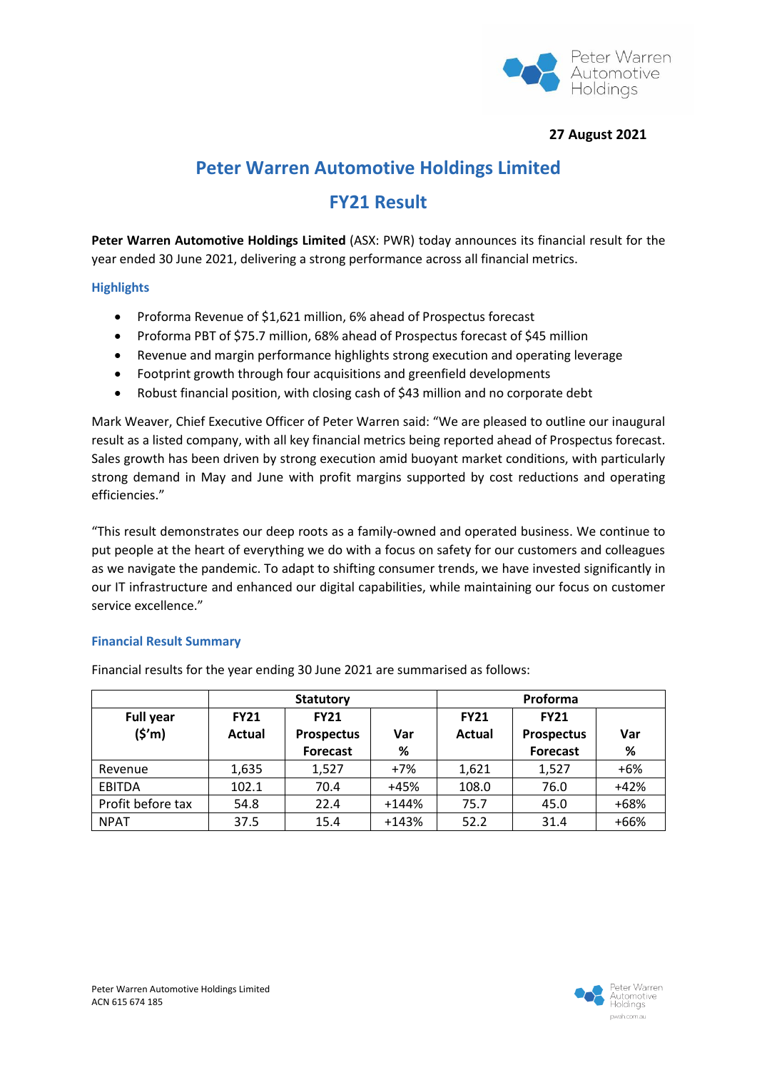

## **27 August 2021**

# **Peter Warren Automotive Holdings Limited**

# **FY21 Result**

**Peter Warren Automotive Holdings Limited** (ASX: PWR) today announces its financial result for the year ended 30 June 2021, delivering a strong performance across all financial metrics.

## **Highlights**

- Proforma Revenue of \$1,621 million, 6% ahead of Prospectus forecast
- Proforma PBT of \$75.7 million, 68% ahead of Prospectus forecast of \$45 million
- Revenue and margin performance highlights strong execution and operating leverage
- Footprint growth through four acquisitions and greenfield developments
- Robust financial position, with closing cash of \$43 million and no corporate debt

Mark Weaver, Chief Executive Officer of Peter Warren said: "We are pleased to outline our inaugural result as a listed company, with all key financial metrics being reported ahead of Prospectus forecast. Sales growth has been driven by strong execution amid buoyant market conditions, with particularly strong demand in May and June with profit margins supported by cost reductions and operating efficiencies."

"This result demonstrates our deep roots as a family-owned and operated business. We continue to put people at the heart of everything we do with a focus on safety for our customers and colleagues as we navigate the pandemic. To adapt to shifting consumer trends, we have invested significantly in our IT infrastructure and enhanced our digital capabilities, while maintaining our focus on customer service excellence."

## **Financial Result Summary**

|                   | <b>Statutory</b> |                   |         | Proforma      |                   |        |
|-------------------|------------------|-------------------|---------|---------------|-------------------|--------|
| <b>Full year</b>  | <b>FY21</b>      | <b>FY21</b>       |         | <b>FY21</b>   | <b>FY21</b>       |        |
| (5'm)             | Actual           | <b>Prospectus</b> | Var     | <b>Actual</b> | <b>Prospectus</b> | Var    |
|                   |                  | <b>Forecast</b>   | %       |               | <b>Forecast</b>   | %      |
| Revenue           | 1,635            | 1,527             | $+7%$   | 1,621         | 1,527             | $+6%$  |
| <b>EBITDA</b>     | 102.1            | 70.4              | +45%    | 108.0         | 76.0              | $+42%$ |
| Profit before tax | 54.8             | 22.4              | $+144%$ | 75.7          | 45.0              | +68%   |
| <b>NPAT</b>       | 37.5             | 15.4              | $+143%$ | 52.2          | 31.4              | $+66%$ |

Financial results for the year ending 30 June 2021 are summarised as follows:

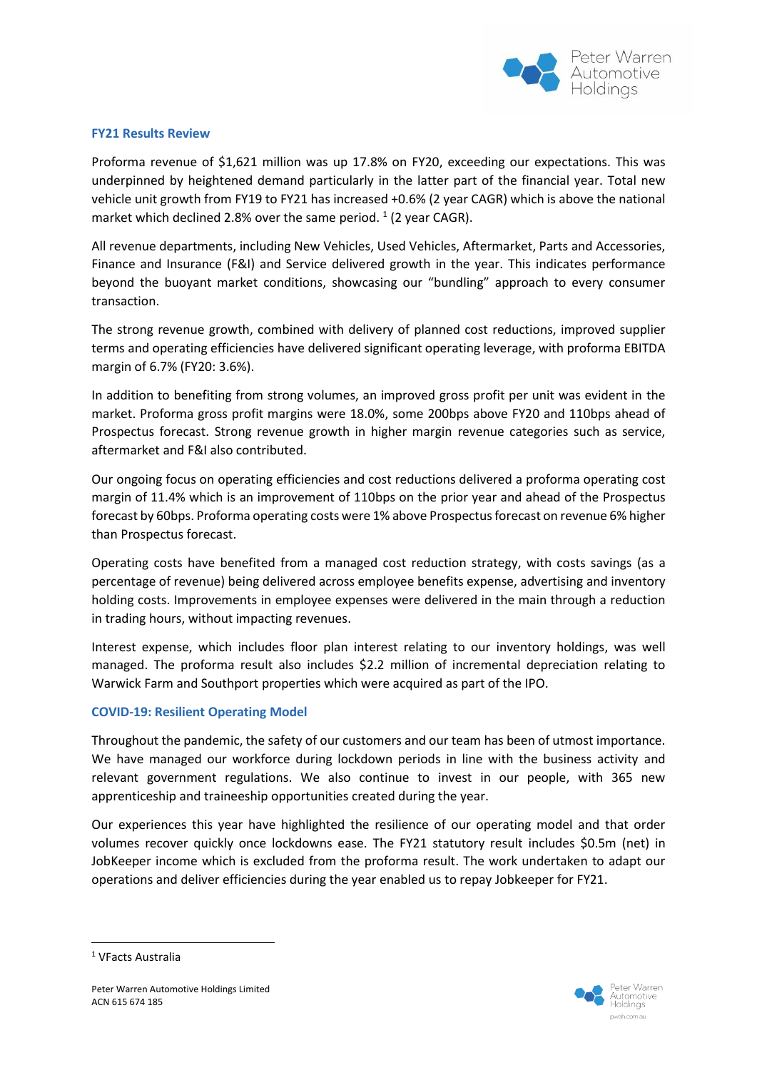

#### **FY21 Results Review**

Proforma revenue of \$1,621 million was up 17.8% on FY20, exceeding our expectations. This was underpinned by heightened demand particularly in the latter part of the financial year. Total new vehicle unit growth from FY19 to FY21 has increased +0.6% (2 year CAGR) which is above the national market which declined 2.8% over the same period.  $1$  (2 year CAGR).

All revenue departments, including New Vehicles, Used Vehicles, Aftermarket, Parts and Accessories, Finance and Insurance (F&I) and Service delivered growth in the year. This indicates performance beyond the buoyant market conditions, showcasing our "bundling" approach to every consumer transaction.

The strong revenue growth, combined with delivery of planned cost reductions, improved supplier terms and operating efficiencies have delivered significant operating leverage, with proforma EBITDA margin of 6.7% (FY20: 3.6%).

In addition to benefiting from strong volumes, an improved gross profit per unit was evident in the market. Proforma gross profit margins were 18.0%, some 200bps above FY20 and 110bps ahead of Prospectus forecast. Strong revenue growth in higher margin revenue categories such as service, aftermarket and F&I also contributed.

Our ongoing focus on operating efficiencies and cost reductions delivered a proforma operating cost margin of 11.4% which is an improvement of 110bps on the prior year and ahead of the Prospectus forecast by 60bps. Proforma operating costs were 1% above Prospectus forecast on revenue 6% higher than Prospectus forecast.

Operating costs have benefited from a managed cost reduction strategy, with costs savings (as a percentage of revenue) being delivered across employee benefits expense, advertising and inventory holding costs. Improvements in employee expenses were delivered in the main through a reduction in trading hours, without impacting revenues.

Interest expense, which includes floor plan interest relating to our inventory holdings, was well managed. The proforma result also includes \$2.2 million of incremental depreciation relating to Warwick Farm and Southport properties which were acquired as part of the IPO.

#### **COVID-19: Resilient Operating Model**

Throughout the pandemic, the safety of our customers and our team has been of utmost importance. We have managed our workforce during lockdown periods in line with the business activity and relevant government regulations. We also continue to invest in our people, with 365 new apprenticeship and traineeship opportunities created during the year.

Our experiences this year have highlighted the resilience of our operating model and that order volumes recover quickly once lockdowns ease. The FY21 statutory result includes \$0.5m (net) in JobKeeper income which is excluded from the proforma result. The work undertaken to adapt our operations and deliver efficiencies during the year enabled us to repay Jobkeeper for FY21.



<sup>&</sup>lt;sup>1</sup> VFacts Australia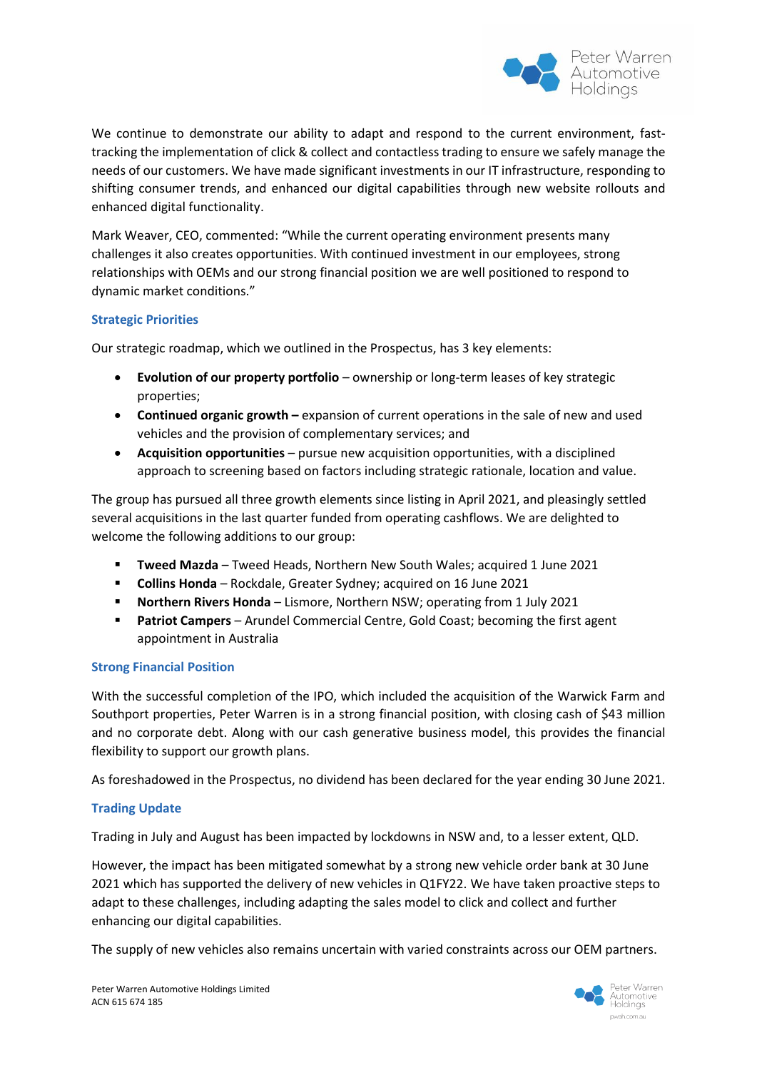

We continue to demonstrate our ability to adapt and respond to the current environment, fasttracking the implementation of click & collect and contactless trading to ensure we safely manage the needs of our customers. We have made significant investments in our IT infrastructure, responding to shifting consumer trends, and enhanced our digital capabilities through new website rollouts and enhanced digital functionality.

Mark Weaver, CEO, commented: "While the current operating environment presents many challenges it also creates opportunities. With continued investment in our employees, strong relationships with OEMs and our strong financial position we are well positioned to respond to dynamic market conditions."

## **Strategic Priorities**

Our strategic roadmap, which we outlined in the Prospectus, has 3 key elements:

- **Evolution of our property portfolio** ownership or long-term leases of key strategic properties;
- **Continued organic growth –** expansion of current operations in the sale of new and used vehicles and the provision of complementary services; and
- **Acquisition opportunities**  pursue new acquisition opportunities, with a disciplined approach to screening based on factors including strategic rationale, location and value.

The group has pursued all three growth elements since listing in April 2021, and pleasingly settled several acquisitions in the last quarter funded from operating cashflows. We are delighted to welcome the following additions to our group:

- **Tweed Mazda** Tweed Heads, Northern New South Wales; acquired 1 June 2021
- **Collins Honda** Rockdale, Greater Sydney; acquired on 16 June 2021
- **Northern Rivers Honda** Lismore, Northern NSW; operating from 1 July 2021
- **Patriot Campers** Arundel Commercial Centre, Gold Coast; becoming the first agent appointment in Australia

#### **Strong Financial Position**

With the successful completion of the IPO, which included the acquisition of the Warwick Farm and Southport properties, Peter Warren is in a strong financial position, with closing cash of \$43 million and no corporate debt. Along with our cash generative business model, this provides the financial flexibility to support our growth plans.

As foreshadowed in the Prospectus, no dividend has been declared for the year ending 30 June 2021.

## **Trading Update**

Trading in July and August has been impacted by lockdowns in NSW and, to a lesser extent, QLD.

However, the impact has been mitigated somewhat by a strong new vehicle order bank at 30 June 2021 which has supported the delivery of new vehicles in Q1FY22. We have taken proactive steps to adapt to these challenges, including adapting the sales model to click and collect and further enhancing our digital capabilities.

The supply of new vehicles also remains uncertain with varied constraints across our OEM partners.